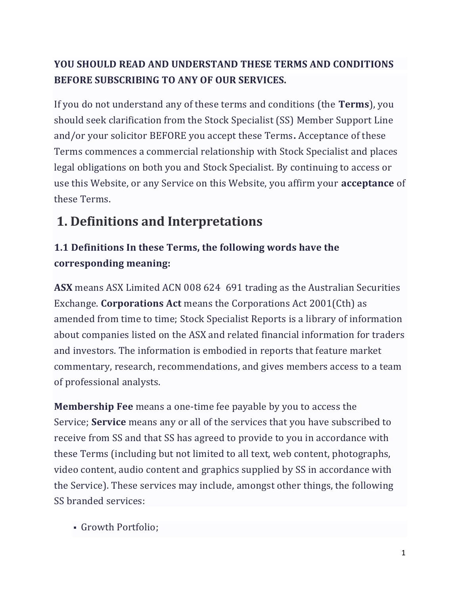#### **YOU SHOULD READ AND UNDERSTAND THESE TERMS AND CONDITIONS BEFORE SUBSCRIBING TO ANY OF OUR SERVICES.**

If you do not understand any of these terms and conditions (the **Terms**), you should seek clarification from the Stock Specialist (SS) Member Support Line and/or your solicitor BEFORE you accept these Terms**.** Acceptance of these Terms commences a commercial relationship with Stock Specialist and places legal obligations on both you and Stock Specialist. By continuing to access or use this Website, or any Service on this Website, you affirm your **acceptance** of these Terms.

# **1. Definitions and Interpretations**

#### **1.1 Definitions In these Terms, the following words have the corresponding meaning:**

**ASX** means ASX Limited ACN 008 624 691 trading as the Australian Securities Exchange. **Corporations Act** means the Corporations Act 2001(Cth) as amended from time to time; Stock Specialist Reports is a library of information about companies listed on the ASX and related financial information for traders and investors. The information is embodied in reports that feature market commentary, research, recommendations, and gives members access to a team of professional analysts.

**Membership Fee** means a one-time fee payable by you to access the Service; **Service** means any or all of the services that you have subscribed to receive from SS and that SS has agreed to provide to you in accordance with these Terms (including but not limited to all text, web content, photographs, video content, audio content and graphics supplied by SS in accordance with the Service). These services may include, amongst other things, the following SS branded services:

▪ Growth Portfolio;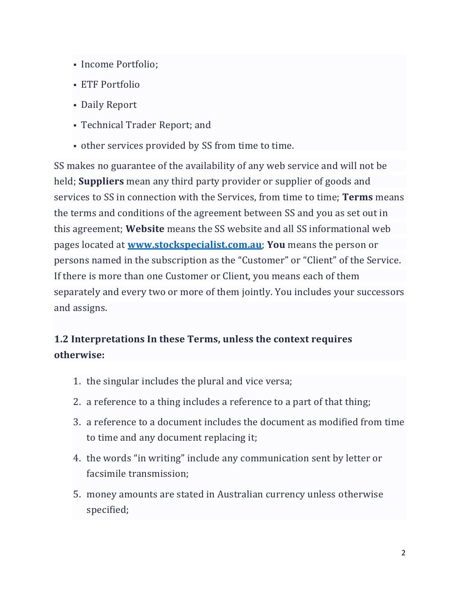- Income Portfolio;
- **ETF Portfolio**
- Daily Report
- Technical Trader Report; and
- other services provided by SS from time to time.

SS makes no guarantee of the availability of any web service and will not be held; **Suppliers** mean any third party provider or supplier of goods and services to SS in connection with the Services, from time to time; **Terms** means the terms and conditions of the agreement between SS and you as set out in this agreement; **Website** means the SS website and all SS informational web pages located at **[www.stockspecialist.com.au](http://www.stockspecialist.com.au/)**; **You** means the person or persons named in the subscription as the "Customer" or "Client" of the Service. If there is more than one Customer or Client, you means each of them separately and every two or more of them jointly. You includes your successors and assigns.

#### **1.2 Interpretations In these Terms, unless the context requires otherwise:**

- 1. the singular includes the plural and vice versa;
- 2. a reference to a thing includes a reference to a part of that thing;
- 3. a reference to a document includes the document as modified from time to time and any document replacing it;
- 4. the words "in writing" include any communication sent by letter or facsimile transmission;
- 5. money amounts are stated in Australian currency unless otherwise specified;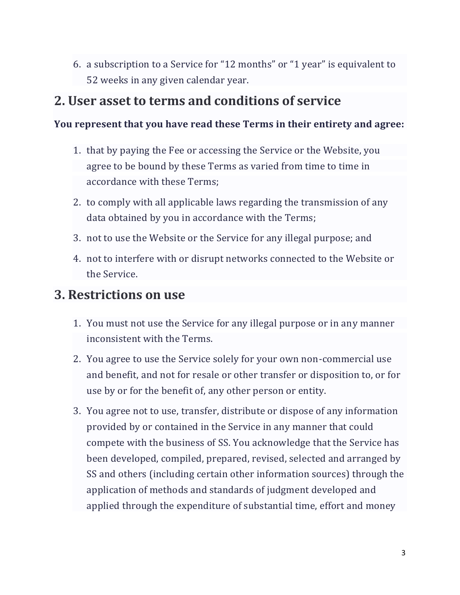6. a subscription to a Service for "12 months" or "1 year" is equivalent to 52 weeks in any given calendar year.

#### **2. User asset to terms and conditions of service**

#### **You represent that you have read these Terms in their entirety and agree:**

- 1. that by paying the Fee or accessing the Service or the Website, you agree to be bound by these Terms as varied from time to time in accordance with these Terms;
- 2. to comply with all applicable laws regarding the transmission of any data obtained by you in accordance with the Terms;
- 3. not to use the Website or the Service for any illegal purpose; and
- 4. not to interfere with or disrupt networks connected to the Website or the Service.

#### **3. Restrictions on use**

- 1. You must not use the Service for any illegal purpose or in any manner inconsistent with the Terms.
- 2. You agree to use the Service solely for your own non-commercial use and benefit, and not for resale or other transfer or disposition to, or for use by or for the benefit of, any other person or entity.
- 3. You agree not to use, transfer, distribute or dispose of any information provided by or contained in the Service in any manner that could compete with the business of SS. You acknowledge that the Service has been developed, compiled, prepared, revised, selected and arranged by SS and others (including certain other information sources) through the application of methods and standards of judgment developed and applied through the expenditure of substantial time, effort and money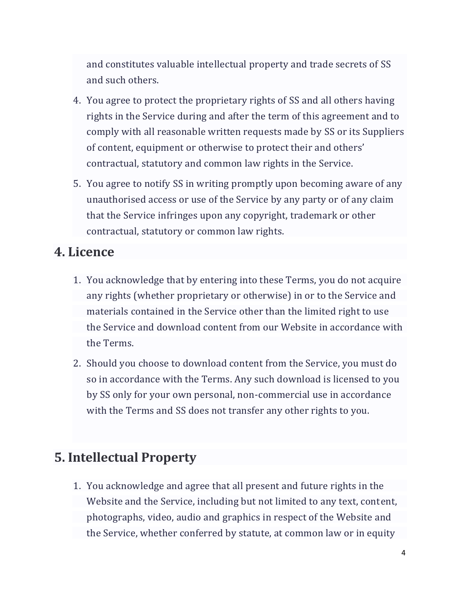and constitutes valuable intellectual property and trade secrets of SS and such others.

- 4. You agree to protect the proprietary rights of SS and all others having rights in the Service during and after the term of this agreement and to comply with all reasonable written requests made by SS or its Suppliers of content, equipment or otherwise to protect their and others' contractual, statutory and common law rights in the Service.
- 5. You agree to notify SS in writing promptly upon becoming aware of any unauthorised access or use of the Service by any party or of any claim that the Service infringes upon any copyright, trademark or other contractual, statutory or common law rights.

### **4. Licence**

- 1. You acknowledge that by entering into these Terms, you do not acquire any rights (whether proprietary or otherwise) in or to the Service and materials contained in the Service other than the limited right to use the Service and download content from our Website in accordance with the Terms.
- 2. Should you choose to download content from the Service, you must do so in accordance with the Terms. Any such download is licensed to you by SS only for your own personal, non-commercial use in accordance with the Terms and SS does not transfer any other rights to you.

#### **5. Intellectual Property**

1. You acknowledge and agree that all present and future rights in the Website and the Service, including but not limited to any text, content, photographs, video, audio and graphics in respect of the Website and the Service, whether conferred by statute, at common law or in equity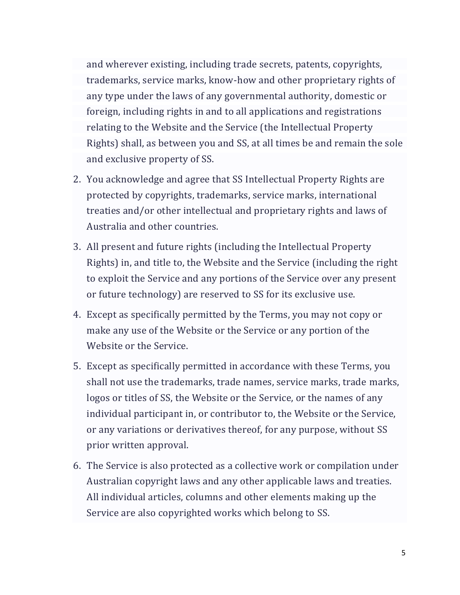and wherever existing, including trade secrets, patents, copyrights, trademarks, service marks, know-how and other proprietary rights of any type under the laws of any governmental authority, domestic or foreign, including rights in and to all applications and registrations relating to the Website and the Service (the Intellectual Property Rights) shall, as between you and SS, at all times be and remain the sole and exclusive property of SS.

- 2. You acknowledge and agree that SS Intellectual Property Rights are protected by copyrights, trademarks, service marks, international treaties and/or other intellectual and proprietary rights and laws of Australia and other countries.
- 3. All present and future rights (including the Intellectual Property Rights) in, and title to, the Website and the Service (including the right to exploit the Service and any portions of the Service over any present or future technology) are reserved to SS for its exclusive use.
- 4. Except as specifically permitted by the Terms, you may not copy or make any use of the Website or the Service or any portion of the Website or the Service.
- 5. Except as specifically permitted in accordance with these Terms, you shall not use the trademarks, trade names, service marks, trade marks, logos or titles of SS, the Website or the Service, or the names of any individual participant in, or contributor to, the Website or the Service, or any variations or derivatives thereof, for any purpose, without SS prior written approval.
- 6. The Service is also protected as a collective work or compilation under Australian copyright laws and any other applicable laws and treaties. All individual articles, columns and other elements making up the Service are also copyrighted works which belong to SS.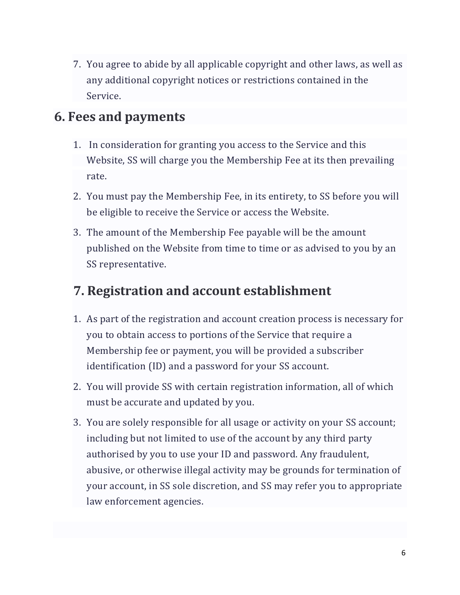7. You agree to abide by all applicable copyright and other laws, as well as any additional copyright notices or restrictions contained in the Service.

### **6. Fees and payments**

- 1. In consideration for granting you access to the Service and this Website, SS will charge you the Membership Fee at its then prevailing rate.
- 2. You must pay the Membership Fee, in its entirety, to SS before you will be eligible to receive the Service or access the Website.
- 3. The amount of the Membership Fee payable will be the amount published on the Website from time to time or as advised to you by an SS representative.

# **7. Registration and account establishment**

- 1. As part of the registration and account creation process is necessary for you to obtain access to portions of the Service that require a Membership fee or payment, you will be provided a subscriber identification (ID) and a password for your SS account.
- 2. You will provide SS with certain registration information, all of which must be accurate and updated by you.
- 3. You are solely responsible for all usage or activity on your SS account; including but not limited to use of the account by any third party authorised by you to use your ID and password. Any fraudulent, abusive, or otherwise illegal activity may be grounds for termination of your account, in SS sole discretion, and SS may refer you to appropriate law enforcement agencies.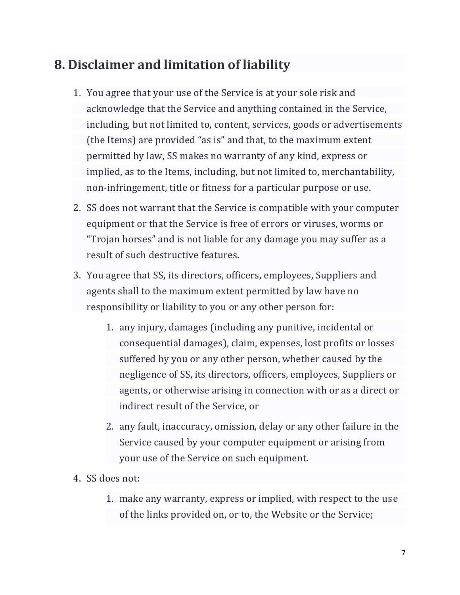# **8. Disclaimer and limitation of liability**

- 1. You agree that your use of the Service is at your sole risk and acknowledge that the Service and anything contained in the Service, including, but not limited to, content, services, goods or advertisements (the Items) are provided "as is" and that, to the maximum extent permitted by law, SS makes no warranty of any kind, express or implied, as to the Items, including, but not limited to, merchantability, non-infringement, title or fitness for a particular purpose or use.
- 2. SS does not warrant that the Service is compatible with your computer equipment or that the Service is free of errors or viruses, worms or "Trojan horses" and is not liable for any damage you may suffer as a result of such destructive features.
- 3. You agree that SS, its directors, officers, employees, Suppliers and agents shall to the maximum extent permitted by law have no responsibility or liability to you or any other person for:
	- 1. any injury, damages (including any punitive, incidental or consequential damages), claim, expenses, lost profits or losses suffered by you or any other person, whether caused by the negligence of SS, its directors, officers, employees, Suppliers or agents, or otherwise arising in connection with or as a direct or indirect result of the Service, or
	- 2. any fault, inaccuracy, omission, delay or any other failure in the Service caused by your computer equipment or arising from your use of the Service on such equipment.
- 4. SS does not:
	- 1. make any warranty, express or implied, with respect to the use of the links provided on, or to, the Website or the Service;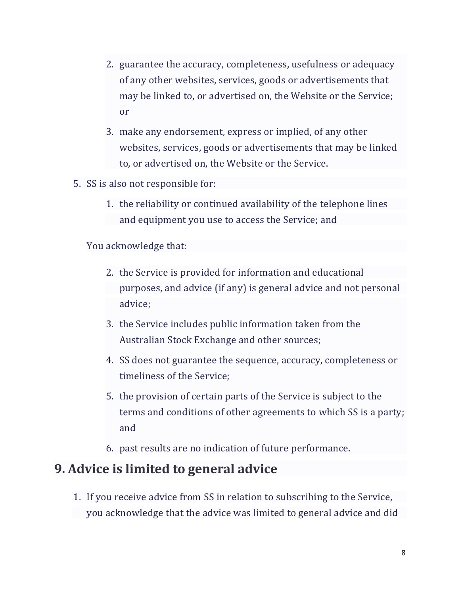- 2. guarantee the accuracy, completeness, usefulness or adequacy of any other websites, services, goods or advertisements that may be linked to, or advertised on, the Website or the Service; or
- 3. make any endorsement, express or implied, of any other websites, services, goods or advertisements that may be linked to, or advertised on, the Website or the Service.
- 5. SS is also not responsible for:
	- 1. the reliability or continued availability of the telephone lines and equipment you use to access the Service; and

You acknowledge that:

- 2. the Service is provided for information and educational purposes, and advice (if any) is general advice and not personal advice;
- 3. the Service includes public information taken from the Australian Stock Exchange and other sources;
- 4. SS does not guarantee the sequence, accuracy, completeness or timeliness of the Service;
- 5. the provision of certain parts of the Service is subject to the terms and conditions of other agreements to which SS is a party; and
- 6. past results are no indication of future performance.

### **9. Advice is limited to general advice**

1. If you receive advice from SS in relation to subscribing to the Service, you acknowledge that the advice was limited to general advice and did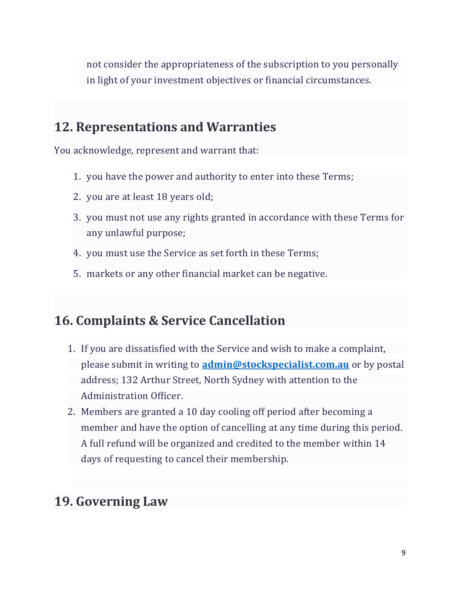not consider the appropriateness of the subscription to you personally in light of your investment objectives or financial circumstances.

# **12. Representations and Warranties**

You acknowledge, represent and warrant that:

- 1. you have the power and authority to enter into these Terms;
- 2. you are at least 18 years old;
- 3. you must not use any rights granted in accordance with these Terms for any unlawful purpose;
- 4. you must use the Service as set forth in these Terms;
- 5. markets or any other financial market can be negative.

# **16. Complaints & Service Cancellation**

- 1. If you are dissatisfied with the Service and wish to make a complaint, please submit in writing to **[admin@stockspecialist.com.au](mailto:admin@stockspecialist.com.au)** or by postal address; 132 Arthur Street, North Sydney with attention to the Administration Officer.
- 2. Members are granted a 10 day cooling off period after becoming a member and have the option of cancelling at any time during this period. A full refund will be organized and credited to the member within 14 days of requesting to cancel their membership.

# **19. Governing Law**